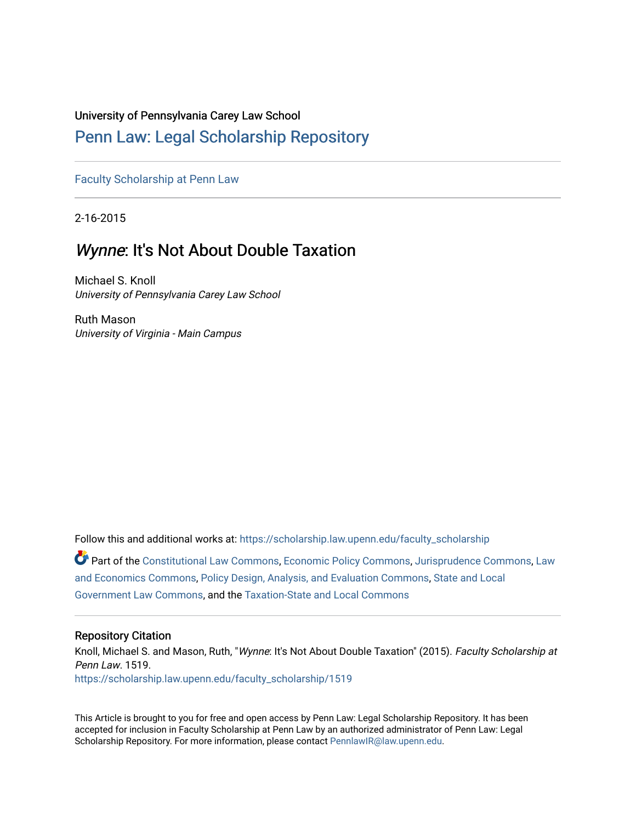#### University of Pennsylvania Carey Law School

## [Penn Law: Legal Scholarship Repository](https://scholarship.law.upenn.edu/)

[Faculty Scholarship at Penn Law](https://scholarship.law.upenn.edu/faculty_scholarship)

2-16-2015

## Wynne: It's Not About Double Taxation

Michael S. Knoll University of Pennsylvania Carey Law School

Ruth Mason University of Virginia - Main Campus

Follow this and additional works at: [https://scholarship.law.upenn.edu/faculty\\_scholarship](https://scholarship.law.upenn.edu/faculty_scholarship?utm_source=scholarship.law.upenn.edu%2Ffaculty_scholarship%2F1519&utm_medium=PDF&utm_campaign=PDFCoverPages)  Part of the [Constitutional Law Commons,](http://network.bepress.com/hgg/discipline/589?utm_source=scholarship.law.upenn.edu%2Ffaculty_scholarship%2F1519&utm_medium=PDF&utm_campaign=PDFCoverPages) [Economic Policy Commons](http://network.bepress.com/hgg/discipline/1025?utm_source=scholarship.law.upenn.edu%2Ffaculty_scholarship%2F1519&utm_medium=PDF&utm_campaign=PDFCoverPages), [Jurisprudence Commons,](http://network.bepress.com/hgg/discipline/610?utm_source=scholarship.law.upenn.edu%2Ffaculty_scholarship%2F1519&utm_medium=PDF&utm_campaign=PDFCoverPages) [Law](http://network.bepress.com/hgg/discipline/612?utm_source=scholarship.law.upenn.edu%2Ffaculty_scholarship%2F1519&utm_medium=PDF&utm_campaign=PDFCoverPages)  [and Economics Commons,](http://network.bepress.com/hgg/discipline/612?utm_source=scholarship.law.upenn.edu%2Ffaculty_scholarship%2F1519&utm_medium=PDF&utm_campaign=PDFCoverPages) [Policy Design, Analysis, and Evaluation Commons](http://network.bepress.com/hgg/discipline/1032?utm_source=scholarship.law.upenn.edu%2Ffaculty_scholarship%2F1519&utm_medium=PDF&utm_campaign=PDFCoverPages), [State and Local](http://network.bepress.com/hgg/discipline/879?utm_source=scholarship.law.upenn.edu%2Ffaculty_scholarship%2F1519&utm_medium=PDF&utm_campaign=PDFCoverPages) 

[Government Law Commons,](http://network.bepress.com/hgg/discipline/879?utm_source=scholarship.law.upenn.edu%2Ffaculty_scholarship%2F1519&utm_medium=PDF&utm_campaign=PDFCoverPages) and the [Taxation-State and Local Commons](http://network.bepress.com/hgg/discipline/882?utm_source=scholarship.law.upenn.edu%2Ffaculty_scholarship%2F1519&utm_medium=PDF&utm_campaign=PDFCoverPages)

#### Repository Citation

Knoll, Michael S. and Mason, Ruth, "Wynne: It's Not About Double Taxation" (2015). Faculty Scholarship at Penn Law. 1519. [https://scholarship.law.upenn.edu/faculty\\_scholarship/1519](https://scholarship.law.upenn.edu/faculty_scholarship/1519?utm_source=scholarship.law.upenn.edu%2Ffaculty_scholarship%2F1519&utm_medium=PDF&utm_campaign=PDFCoverPages)

This Article is brought to you for free and open access by Penn Law: Legal Scholarship Repository. It has been accepted for inclusion in Faculty Scholarship at Penn Law by an authorized administrator of Penn Law: Legal Scholarship Repository. For more information, please contact [PennlawIR@law.upenn.edu.](mailto:PennlawIR@law.upenn.edu)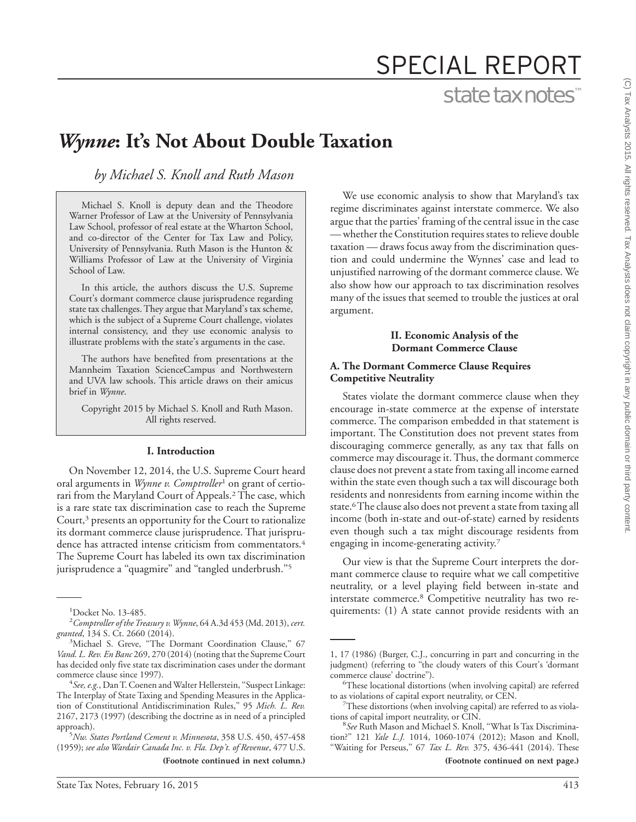# SPECIAL REPORT

## state tax notes™

# *Wynne***: It's Not About Double Taxation**

*by Michael S. Knoll and Ruth Mason*

Michael S. Knoll is deputy dean and the Theodore Warner Professor of Law at the University of Pennsylvania Law School, professor of real estate at the Wharton School, and co-director of the Center for Tax Law and Policy, University of Pennsylvania. Ruth Mason is the Hunton & Williams Professor of Law at the University of Virginia School of Law.

In this article, the authors discuss the U.S. Supreme Court's dormant commerce clause jurisprudence regarding state tax challenges. They argue that Maryland's tax scheme, which is the subject of a Supreme Court challenge, violates internal consistency, and they use economic analysis to illustrate problems with the state's arguments in the case.

The authors have benefited from presentations at the Mannheim Taxation ScienceCampus and Northwestern and UVA law schools. This article draws on their amicus brief in *Wynne*.

Copyright 2015 by Michael S. Knoll and Ruth Mason. All rights reserved.

#### **I. Introduction**

On November 12, 2014, the U.S. Supreme Court heard oral arguments in *Wynne v. Comptroller*<sup>1</sup> on grant of certiorari from the Maryland Court of Appeals.2 The case, which is a rare state tax discrimination case to reach the Supreme Court,<sup>3</sup> presents an opportunity for the Court to rationalize its dormant commerce clause jurisprudence. That jurisprudence has attracted intense criticism from commentators.<sup>4</sup> The Supreme Court has labeled its own tax discrimination jurisprudence a "quagmire" and "tangled underbrush."<sup>5</sup>

We use economic analysis to show that Maryland's tax regime discriminates against interstate commerce. We also argue that the parties' framing of the central issue in the case — whether the Constitution requires states to relieve double taxation — draws focus away from the discrimination question and could undermine the Wynnes' case and lead to unjustified narrowing of the dormant commerce clause. We also show how our approach to tax discrimination resolves many of the issues that seemed to trouble the justices at oral argument.

#### **II. Economic Analysis of the Dormant Commerce Clause**

#### **A. The Dormant Commerce Clause Requires Competitive Neutrality**

States violate the dormant commerce clause when they encourage in-state commerce at the expense of interstate commerce. The comparison embedded in that statement is important. The Constitution does not prevent states from discouraging commerce generally, as any tax that falls on commerce may discourage it. Thus, the dormant commerce clause does not prevent a state from taxing all income earned within the state even though such a tax will discourage both residents and nonresidents from earning income within the state.6The clause also does not prevent a state from taxing all income (both in-state and out-of-state) earned by residents even though such a tax might discourage residents from engaging in income-generating activity.7

Our view is that the Supreme Court interprets the dormant commerce clause to require what we call competitive neutrality, or a level playing field between in-state and interstate commerce.8 Competitive neutrality has two re quirements: (1) A state cannot provide residents with an

<sup>&</sup>lt;sup>1</sup>Docket No. 13-485.

*Comptroller of theTreasury v.Wynne*, 64 A.3d 453 (Md. 2013),*cert. granted*, 134 S. Ct. 2660 (2014). <sup>3</sup>

<sup>&</sup>lt;sup>3</sup>Michael S. Greve, "The Dormant Coordination Clause," 67 *Vand. L. Rev. En Banc* 269, 270 (2014) (noting that the Supreme Court has decided only five state tax discrimination cases under the dormant commerce clause since 1997).

*See, e.g.*, DanT. Coenen and Walter Hellerstein, ''Suspect Linkage: The Interplay of State Taxing and Spending Measures in the Application of Constitutional Antidiscrimination Rules,'' 95 *Mich. L. Rev.* 2167, 2173 (1997) (describing the doctrine as in need of a principled approach).

*Nw. States Portland Cement v. Minnesota*, 358 U.S. 450, 457-458 (1959); *see also Wardair Canada Inc. v. Fla. Dep't. of Revenue*, 477 U.S.

**<sup>(</sup>Footnote continued in next column.) (Footnote continued on next page.)**

<sup>1, 17 (1986) (</sup>Burger, C.J., concurring in part and concurring in the judgment) (referring to "the cloudy waters of this Court's 'dormant commerce clause' doctrine").

These locational distortions (when involving capital) are referred to as violations of capital export neutrality, or CEN. <sup>7</sup>

 $7$ These distortions (when involving capital) are referred to as violations of capital import neutrality, or CIN.

*See* Ruth Mason and Michael S. Knoll, ''What Is Tax Discrimination?'' 121 *Yale L.J.* 1014, 1060-1074 (2012); Mason and Knoll, "Waiting for Perseus," 67 *Tax L. Rev.* 375, 436-441 (2014). These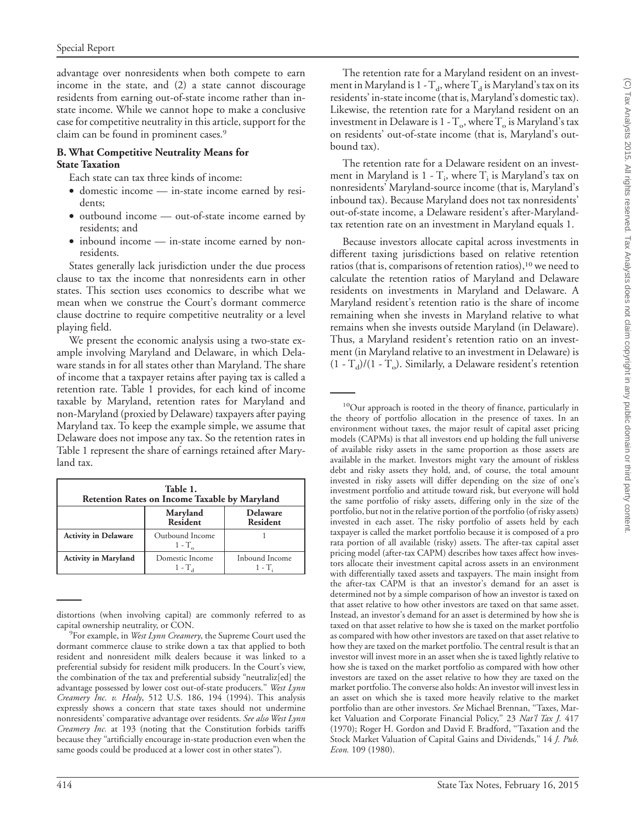advantage over nonresidents when both compete to earn income in the state, and (2) a state cannot discourage residents from earning out-of-state income rather than instate income. While we cannot hope to make a conclusive case for competitive neutrality in this article, support for the claim can be found in prominent cases.9

#### **B. What Competitive Neutrality Means for State Taxation**

Each state can tax three kinds of income:

- domestic income in-state income earned by residents;
- outbound income out-of-state income earned by residents; and
- inbound income in-state income earned by nonresidents.

States generally lack jurisdiction under the due process clause to tax the income that nonresidents earn in other states. This section uses economics to describe what we mean when we construe the Court's dormant commerce clause doctrine to require competitive neutrality or a level playing field.

We present the economic analysis using a two-state example involving Maryland and Delaware, in which Delaware stands in for all states other than Maryland. The share of income that a taxpayer retains after paying tax is called a retention rate. Table 1 provides, for each kind of income taxable by Maryland, retention rates for Maryland and non-Maryland (proxied by Delaware) taxpayers after paying Maryland tax. To keep the example simple, we assume that Delaware does not impose any tax. So the retention rates in Table 1 represent the share of earnings retained after Maryland tax.

| Table 1.<br><b>Retention Rates on Income Taxable by Maryland</b> |                                     |                                    |  |
|------------------------------------------------------------------|-------------------------------------|------------------------------------|--|
|                                                                  | Maryland<br><b>Resident</b>         | <b>Delaware</b><br><b>Resident</b> |  |
| <b>Activity in Delaware</b>                                      | Outbound Income<br>$1 - T_{\alpha}$ |                                    |  |
| <b>Activity in Maryland</b>                                      | Domestic Income<br>1 - T.           | Inbound Income<br>1 - T.           |  |

distortions (when involving capital) are commonly referred to as capital ownership neutrality, or CON.

The retention rate for a Maryland resident on an investment in Maryland is 1 -  $T_d$ , where  $T_d$  is Maryland's tax on its residents' in-state income (that is, Maryland's domestic tax). Likewise, the retention rate for a Maryland resident on an investment in Delaware is  $1 - T_0$ , where  $T_0$  is Maryland's tax on residents' out-of-state income (that is, Maryland's outbound tax).

The retention rate for a Delaware resident on an investment in Maryland is  $1 - T_i$ , where  $T_i$  is Maryland's tax on nonresidents' Maryland-source income (that is, Maryland's inbound tax). Because Maryland does not tax nonresidents' out-of-state income, a Delaware resident's after-Marylandtax retention rate on an investment in Maryland equals 1.

Because investors allocate capital across investments in different taxing jurisdictions based on relative retention ratios (that is, comparisons of retention ratios),  $10$  we need to calculate the retention ratios of Maryland and Delaware residents on investments in Maryland and Delaware. A Maryland resident's retention ratio is the share of income remaining when she invests in Maryland relative to what remains when she invests outside Maryland (in Delaware). Thus, a Maryland resident's retention ratio on an investment (in Maryland relative to an investment in Delaware) is  $(1 - T_d)/(1 - T_o)$ . Similarly, a Delaware resident's retention

<sup>10</sup>Our approach is rooted in the theory of finance, particularly in the theory of portfolio allocation in the presence of taxes. In an environment without taxes, the major result of capital asset pricing models (CAPMs) is that all investors end up holding the full universe of available risky assets in the same proportion as those assets are available in the market. Investors might vary the amount of riskless debt and risky assets they hold, and, of course, the total amount invested in risky assets will differ depending on the size of one's investment portfolio and attitude toward risk, but everyone will hold the same portfolio of risky assets, differing only in the size of the portfolio, but not in the relative portion of the portfolio (of risky assets) invested in each asset. The risky portfolio of assets held by each taxpayer is called the market portfolio because it is composed of a pro rata portion of all available (risky) assets. The after-tax capital asset pricing model (after-tax CAPM) describes how taxes affect how investors allocate their investment capital across assets in an environment with differentially taxed assets and taxpayers. The main insight from the after-tax CAPM is that an investor's demand for an asset is determined not by a simple comparison of how an investor is taxed on that asset relative to how other investors are taxed on that same asset. Instead, an investor's demand for an asset is determined by how she is taxed on that asset relative to how she is taxed on the market portfolio as compared with how other investors are taxed on that asset relative to how they are taxed on the market portfolio. The central result is that an investor will invest more in an asset when she is taxed lightly relative to how she is taxed on the market portfolio as compared with how other investors are taxed on the asset relative to how they are taxed on the market portfolio.The converse also holds: An investor will invest less in an asset on which she is taxed more heavily relative to the market portfolio than are other investors. *See* Michael Brennan, ''Taxes, Market Valuation and Corporate Financial Policy,'' 23 *Nat'l Tax J.* 417 (1970); Roger H. Gordon and David F. Bradford, ''Taxation and the Stock Market Valuation of Capital Gains and Dividends,'' 14 *J. Pub. Econ.* 109 (1980).

For example, in *West Lynn Creamery*, the Supreme Court used the dormant commerce clause to strike down a tax that applied to both resident and nonresident milk dealers because it was linked to a preferential subsidy for resident milk producers. In the Court's view, the combination of the tax and preferential subsidy ''neutraliz[ed] the advantage possessed by lower cost out-of-state producers.'' *West Lynn Creamery Inc. v. Healy*, 512 U.S. 186, 194 (1994). This analysis expressly shows a concern that state taxes should not undermine nonresidents' comparative advantage over residents. *See also West Lynn Creamery Inc.* at 193 (noting that the Constitution forbids tariffs because they ''artificially encourage in-state production even when the same goods could be produced at a lower cost in other states'').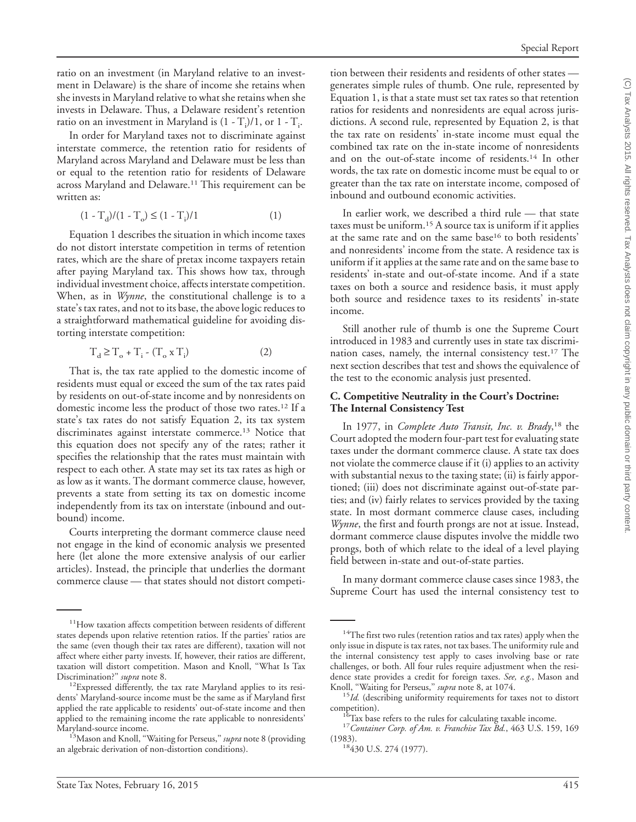ratio on an investment (in Maryland relative to an investment in Delaware) is the share of income she retains when she invests in Maryland relative to what she retains when she invests in Delaware. Thus, a Delaware resident's retention ratio on an investment in Maryland is  $(1 - T_i)/1$ , or  $1 - T_i$ .

In order for Maryland taxes not to discriminate against interstate commerce, the retention ratio for residents of Maryland across Maryland and Delaware must be less than or equal to the retention ratio for residents of Delaware across Maryland and Delaware.<sup>11</sup> This requirement can be written as:

$$
(1 - T_d)/(1 - T_o) \le (1 - T_i)/1 \tag{1}
$$

Equation 1 describes the situation in which income taxes do not distort interstate competition in terms of retention rates, which are the share of pretax income taxpayers retain after paying Maryland tax. This shows how tax, through individual investment choice, affects interstate competition. When, as in *Wynne*, the constitutional challenge is to a state's tax rates, and not to its base, the above logic reduces to a straightforward mathematical guideline for avoiding distorting interstate competition:

$$
T_d \ge T_o + T_i - (T_o \times T_i)
$$
 (2)

That is, the tax rate applied to the domestic income of residents must equal or exceed the sum of the tax rates paid by residents on out-of-state income and by nonresidents on domestic income less the product of those two rates.12 If a state's tax rates do not satisfy Equation 2, its tax system discriminates against interstate commerce.<sup>13</sup> Notice that this equation does not specify any of the rates; rather it specifies the relationship that the rates must maintain with respect to each other. A state may set its tax rates as high or as low as it wants. The dormant commerce clause, however, prevents a state from setting its tax on domestic income independently from its tax on interstate (inbound and outbound) income.

Courts interpreting the dormant commerce clause need not engage in the kind of economic analysis we presented here (let alone the more extensive analysis of our earlier articles). Instead, the principle that underlies the dormant commerce clause — that states should not distort competi-

tion between their residents and residents of other states generates simple rules of thumb. One rule, represented by Equation 1, is that a state must set tax rates so that retention ratios for residents and nonresidents are equal across jurisdictions. A second rule, represented by Equation 2, is that the tax rate on residents' in-state income must equal the combined tax rate on the in-state income of nonresidents and on the out-of-state income of residents.14 In other words, the tax rate on domestic income must be equal to or greater than the tax rate on interstate income, composed of inbound and outbound economic activities.

In earlier work, we described a third rule — that state taxes must be uniform.15 A source tax is uniform if it applies at the same rate and on the same base16 to both residents' and nonresidents' income from the state. A residence tax is uniform if it applies at the same rate and on the same base to residents' in-state and out-of-state income. And if a state taxes on both a source and residence basis, it must apply both source and residence taxes to its residents' in-state income.

Still another rule of thumb is one the Supreme Court introduced in 1983 and currently uses in state tax discrimination cases, namely, the internal consistency test.17 The next section describes that test and shows the equivalence of the test to the economic analysis just presented.

#### **C. Competitive Neutrality in the Court's Doctrine: The Internal Consistency Test**

In 1977, in *Complete Auto Transit, Inc. v. Brady*, <sup>18</sup> the Court adopted the modern four-part test for evaluating state taxes under the dormant commerce clause. A state tax does not violate the commerce clause if it (i) applies to an activity with substantial nexus to the taxing state; (ii) is fairly apportioned; (iii) does not discriminate against out-of-state parties; and (iv) fairly relates to services provided by the taxing state. In most dormant commerce clause cases, including *Wynne*, the first and fourth prongs are not at issue. Instead, dormant commerce clause disputes involve the middle two prongs, both of which relate to the ideal of a level playing field between in-state and out-of-state parties.

In many dormant commerce clause cases since 1983, the Supreme Court has used the internal consistency test to

<sup>&</sup>lt;sup>11</sup>How taxation affects competition between residents of different states depends upon relative retention ratios. If the parties' ratios are the same (even though their tax rates are different), taxation will not affect where either party invests. If, however, their ratios are different, taxation will distort competition. Mason and Knoll, "What Is Tax<br>Discrimination?" *supra* note 8.

<sup>&</sup>lt;sup>12</sup> Expressed differently, the tax rate Maryland applies to its residents' Maryland-source income must be the same as if Maryland first applied the rate applicable to residents' out-of-state income and then applied to the remaining income the rate applicable to nonresidents' Maryland-source income. 13Mason and Knoll, ''Waiting for Perseus,'' *supra* note 8 (providing

an algebraic derivation of non-distortion conditions).

<sup>&</sup>lt;sup>14</sup>The first two rules (retention ratios and tax rates) apply when the only issue in dispute is tax rates, not tax bases. The uniformity rule and the internal consistency test apply to cases involving base or rate challenges, or both. All four rules require adjustment when the residence state provides a credit for foreign taxes. *See, e.g.*, Mason and

Knoll, "Waiting for Perseus," *supra* note 8, at 1074.<br><sup>15</sup>*Id.* (describing uniformity requirements for taxes not to distort competition).

<sup>&</sup>lt;sup>16</sup>Tax base refers to the rules for calculating taxable income.<br><sup>17</sup>*Container Corp. of Am. v. Franchise Tax Bd.*, 463 U.S. 159, 169 (1983).

<sup>&</sup>lt;sup>18</sup>430 U.S. 274 (1977).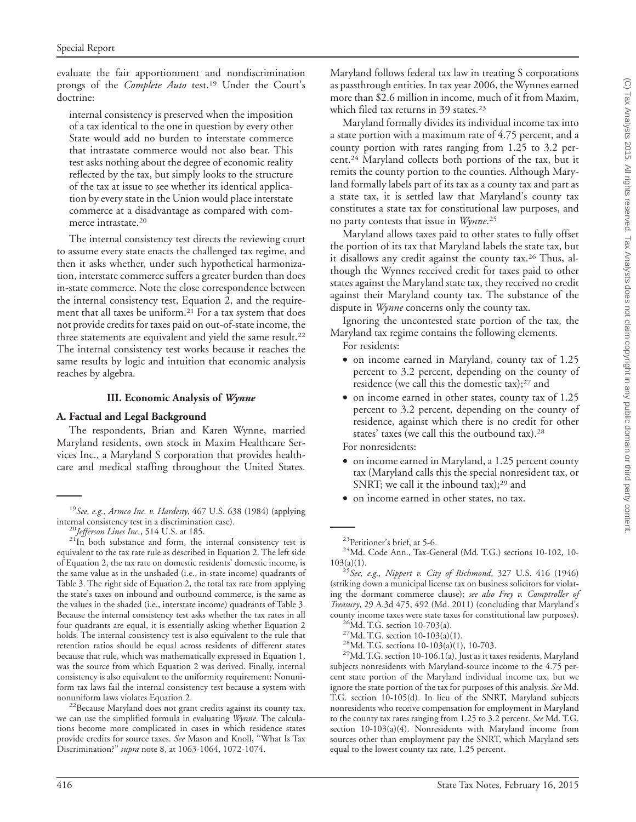evaluate the fair apportionment and nondiscrimination prongs of the *Complete Auto* test.<sup>19</sup> Under the Court's doctrine:

internal consistency is preserved when the imposition of a tax identical to the one in question by every other State would add no burden to interstate commerce that intrastate commerce would not also bear. This test asks nothing about the degree of economic reality reflected by the tax, but simply looks to the structure of the tax at issue to see whether its identical application by every state in the Union would place interstate commerce at a disadvantage as compared with commerce intrastate.20

The internal consistency test directs the reviewing court to assume every state enacts the challenged tax regime, and then it asks whether, under such hypothetical harmonization, interstate commerce suffers a greater burden than does in-state commerce. Note the close correspondence between the internal consistency test, Equation 2, and the requirement that all taxes be uniform.<sup>21</sup> For a tax system that does not provide credits for taxes paid on out-of-state income, the three statements are equivalent and yield the same result.<sup>22</sup> The internal consistency test works because it reaches the same results by logic and intuition that economic analysis reaches by algebra.

#### **III. Economic Analysis of** *Wynne*

#### **A. Factual and Legal Background**

The respondents, Brian and Karen Wynne, married Maryland residents, own stock in Maxim Healthcare Services Inc., a Maryland S corporation that provides healthcare and medical staffing throughout the United States.

nonuniform laws violates Equation 2.<br><sup>22</sup>Because Maryland does not grant credits against its county tax, we can use the simplified formula in evaluating *Wynne*. The calculations become more complicated in cases in which residence states provide credits for source taxes. *See* Mason and Knoll, ''What Is Tax Discrimination?'' *supra* note 8, at 1063-1064, 1072-1074.

Maryland follows federal tax law in treating S corporations as passthrough entities. In tax year 2006, the Wynnes earned more than \$2.6 million in income, much of it from Maxim, which filed tax returns in 39 states.<sup>23</sup>

Maryland formally divides its individual income tax into a state portion with a maximum rate of 4.75 percent, and a county portion with rates ranging from 1.25 to 3.2 percent.24 Maryland collects both portions of the tax, but it remits the county portion to the counties. Although Maryland formally labels part of its tax as a county tax and part as a state tax, it is settled law that Maryland's county tax constitutes a state tax for constitutional law purposes, and no party contests that issue in *Wynne*. 25

Maryland allows taxes paid to other states to fully offset the portion of its tax that Maryland labels the state tax, but it disallows any credit against the county tax.<sup>26</sup> Thus, although the Wynnes received credit for taxes paid to other states against the Maryland state tax, they received no credit against their Maryland county tax. The substance of the dispute in *Wynne* concerns only the county tax.

Ignoring the uncontested state portion of the tax, the Maryland tax regime contains the following elements.

For residents:

- on income earned in Maryland, county tax of 1.25 percent to 3.2 percent, depending on the county of residence (we call this the domestic tax);27 and
- on income earned in other states, county tax of 1.25 percent to 3.2 percent, depending on the county of residence, against which there is no credit for other states' taxes (we call this the outbound tax).28

For nonresidents:

- on income earned in Maryland, a 1.25 percent county tax (Maryland calls this the special nonresident tax, or SNRT; we call it the inbound tax);<sup>29</sup> and
- on income earned in other states, no tax.

103(a)(1). <sup>25</sup>*See, e.g., Nippert v. City of Richmond*, 327 U.S. 416 (1946) (striking down a municipal license tax on business solicitors for violating the dormant commerce clause); *see also Frey v. Comptroller of Treasury*, 29 A.3d 475, 492 (Md. 2011) (concluding that Maryland's

county income taxes were state taxes for constitutional law purposes).<br>
<sup>26</sup>Md. T.G. section 10-703(a).<br>
<sup>27</sup>Md. T.G. section 10-103(a)(1).<br>
<sup>28</sup>Md. T.G. sections 10-103(a)(1), 10-703.<br>
<sup>29</sup>Md. T.G. section 10-106.1(a). J subjects nonresidents with Maryland-source income to the 4.75 percent state portion of the Maryland individual income tax, but we ignore the state portion of the tax for purposes of this analysis. *See* Md. T.G. section 10-105(d). In lieu of the SNRT, Maryland subjects nonresidents who receive compensation for employment in Maryland to the county tax rates ranging from 1.25 to 3.2 percent. *See* Md. T.G. section 10-103(a)(4). Nonresidents with Maryland income from sources other than employment pay the SNRT, which Maryland sets equal to the lowest county tax rate, 1.25 percent.

<sup>&</sup>lt;sup>19</sup>*See, e.g.*, *Armco Inc. v. Hardesty*, 467 U.S. 638 (1984) (applying internal consistency test in a discrimination case).

<sup>&</sup>lt;sup>20</sup>*Jefferson Lines Inc.*, 514 U.S. at 185. <sup>21</sup>In both substance and form, the internal consistency test is equivalent to the tax rate rule as described in Equation 2. The left side of Equation 2, the tax rate on domestic residents' domestic income, is the same value as in the unshaded (i.e., in-state income) quadrants of Table 3. The right side of Equation 2, the total tax rate from applying the state's taxes on inbound and outbound commerce, is the same as the values in the shaded (i.e., interstate income) quadrants of Table 3. Because the internal consistency test asks whether the tax rates in all four quadrants are equal, it is essentially asking whether Equation 2 holds. The internal consistency test is also equivalent to the rule that retention ratios should be equal across residents of different states because that rule, which was mathematically expressed in Equation 1, was the source from which Equation 2 was derived. Finally, internal consistency is also equivalent to the uniformity requirement: Nonuniform tax laws fail the internal consistency test because a system with

<sup>&</sup>lt;sup>23</sup>Petitioner's brief, at 5-6.<br><sup>24</sup>Md. Code Ann., Tax-General (Md. T.G.) sections 10-102, 10-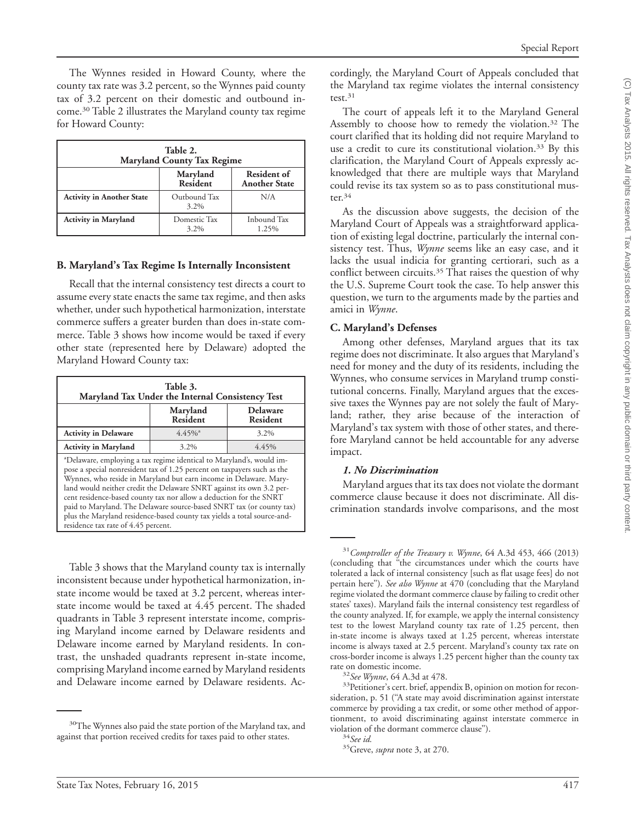The Wynnes resided in Howard County, where the county tax rate was 3.2 percent, so the Wynnes paid county tax of 3.2 percent on their domestic and outbound income.30 Table 2 illustrates the Maryland county tax regime for Howard County:

| Table 2.<br><b>Maryland County Tax Regime</b> |                             |                                            |  |
|-----------------------------------------------|-----------------------------|--------------------------------------------|--|
|                                               | Maryland<br><b>Resident</b> | <b>Resident of</b><br><b>Another State</b> |  |
| <b>Activity in Another State</b>              | Outbound Tax<br>3.2%        | N/A                                        |  |
| <b>Activity in Maryland</b>                   | Domestic Tax<br>3.2%        | Inbound Tax<br>1.25%                       |  |

#### **B. Maryland's Tax Regime Is Internally Inconsistent**

Recall that the internal consistency test directs a court to assume every state enacts the same tax regime, and then asks whether, under such hypothetical harmonization, interstate commerce suffers a greater burden than does in-state commerce. Table 3 shows how income would be taxed if every other state (represented here by Delaware) adopted the Maryland Howard County tax:

| Table 3.<br>Maryland Tax Under the Internal Consistency Test                                                                                                                                                                                                                                                                                                                                                                                                                                                                                                             |                             |                                    |  |  |
|--------------------------------------------------------------------------------------------------------------------------------------------------------------------------------------------------------------------------------------------------------------------------------------------------------------------------------------------------------------------------------------------------------------------------------------------------------------------------------------------------------------------------------------------------------------------------|-----------------------------|------------------------------------|--|--|
|                                                                                                                                                                                                                                                                                                                                                                                                                                                                                                                                                                          | Maryland<br><b>Resident</b> | <b>Delaware</b><br><b>Resident</b> |  |  |
| <b>Activity in Delaware</b>                                                                                                                                                                                                                                                                                                                                                                                                                                                                                                                                              | $4.45\%$ <sup>a</sup>       | 3.2%                               |  |  |
| <b>Activity in Maryland</b>                                                                                                                                                                                                                                                                                                                                                                                                                                                                                                                                              | 3.2%                        | 4.45%                              |  |  |
| <sup>a</sup> Delaware, employing a tax regime identical to Maryland's, would im-<br>pose a special nonresident tax of 1.25 percent on taxpayers such as the<br>Wynnes, who reside in Maryland but earn income in Delaware. Mary-<br>land would neither credit the Delaware SNRT against its own 3.2 per-<br>cent residence-based county tax nor allow a deduction for the SNRT<br>paid to Maryland. The Delaware source-based SNRT tax (or county tax)<br>plus the Maryland residence-based county tax yields a total source-and-<br>residence tax rate of 4.45 percent. |                             |                                    |  |  |

Table 3 shows that the Maryland county tax is internally inconsistent because under hypothetical harmonization, instate income would be taxed at 3.2 percent, whereas interstate income would be taxed at 4.45 percent. The shaded quadrants in Table 3 represent interstate income, comprising Maryland income earned by Delaware residents and Delaware income earned by Maryland residents. In contrast, the unshaded quadrants represent in-state income, comprising Maryland income earned by Maryland residents and Delaware income earned by Delaware residents. Accordingly, the Maryland Court of Appeals concluded that the Maryland tax regime violates the internal consistency test.31

The court of appeals left it to the Maryland General Assembly to choose how to remedy the violation.32 The court clarified that its holding did not require Maryland to use a credit to cure its constitutional violation.<sup>33</sup> By this clarification, the Maryland Court of Appeals expressly acknowledged that there are multiple ways that Maryland could revise its tax system so as to pass constitutional muster. $34$ 

As the discussion above suggests, the decision of the Maryland Court of Appeals was a straightforward application of existing legal doctrine, particularly the internal consistency test. Thus, *Wynne* seems like an easy case, and it lacks the usual indicia for granting certiorari, such as a conflict between circuits.<sup>35</sup> That raises the question of why the U.S. Supreme Court took the case. To help answer this question, we turn to the arguments made by the parties and amici in *Wynne*.

#### **C. Maryland's Defenses**

Among other defenses, Maryland argues that its tax regime does not discriminate. It also argues that Maryland's need for money and the duty of its residents, including the Wynnes, who consume services in Maryland trump constitutional concerns. Finally, Maryland argues that the excessive taxes the Wynnes pay are not solely the fault of Maryland; rather, they arise because of the interaction of Maryland's tax system with those of other states, and therefore Maryland cannot be held accountable for any adverse impact.

#### *1. No Discrimination*

Maryland argues that its tax does not violate the dormant commerce clause because it does not discriminate. All discrimination standards involve comparisons, and the most

<sup>&</sup>lt;sup>30</sup>The Wynnes also paid the state portion of the Maryland tax, and against that portion received credits for taxes paid to other states.

<sup>31</sup>*Comptroller of the Treasury v. Wynne*, 64 A.3d 453, 466 (2013) (concluding that ''the circumstances under which the courts have tolerated a lack of internal consistency [such as flat usage fees] do not pertain here''). *See also Wynne* at 470 (concluding that the Maryland regime violated the dormant commerce clause by failing to credit other states' taxes). Maryland fails the internal consistency test regardless of the county analyzed. If, for example, we apply the internal consistency test to the lowest Maryland county tax rate of 1.25 percent, then in-state income is always taxed at 1.25 percent, whereas interstate income is always taxed at 2.5 percent. Maryland's county tax rate on cross-border income is always 1.25 percent higher than the county tax

<sup>&</sup>lt;sup>32</sup> See Wynne, 64 A.3d at 478.<br><sup>33</sup>Petitioner's cert. brief, appendix B, opinion on motion for reconsideration, p. 51 (''A state may avoid discrimination against interstate commerce by providing a tax credit, or some other method of apportionment, to avoid discriminating against interstate commerce in

 $\frac{34}{34}$ *See id.*  $\frac{35}{35}$ Greve, *supra* note 3, at 270.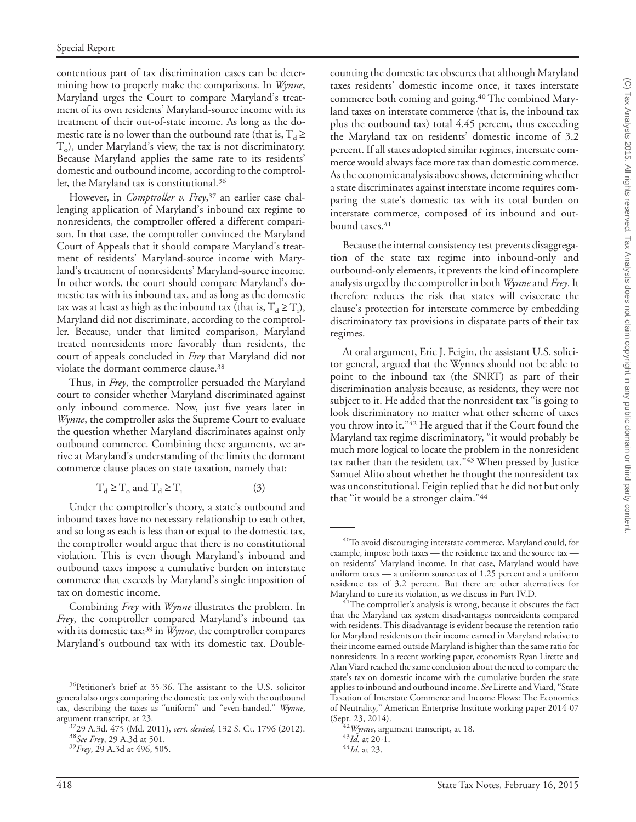contentious part of tax discrimination cases can be determining how to properly make the comparisons. In *Wynne*, Maryland urges the Court to compare Maryland's treatment of its own residents' Maryland-source income with its treatment of their out-of-state income. As long as the domestic rate is no lower than the outbound rate (that is,  $T_d \ge$  $T<sub>o</sub>$ ), under Maryland's view, the tax is not discriminatory. Because Maryland applies the same rate to its residents' domestic and outbound income, according to the comptroller, the Maryland tax is constitutional.36

However, in *Comptroller v. Frey*, <sup>37</sup> an earlier case challenging application of Maryland's inbound tax regime to nonresidents, the comptroller offered a different comparison. In that case, the comptroller convinced the Maryland Court of Appeals that it should compare Maryland's treatment of residents' Maryland-source income with Maryland's treatment of nonresidents' Maryland-source income. In other words, the court should compare Maryland's domestic tax with its inbound tax, and as long as the domestic tax was at least as high as the inbound tax (that is,  $T_d \ge T_i$ ), Maryland did not discriminate, according to the comptroller. Because, under that limited comparison, Maryland treated nonresidents more favorably than residents, the court of appeals concluded in *Frey* that Maryland did not violate the dormant commerce clause.38

Thus, in *Frey*, the comptroller persuaded the Maryland court to consider whether Maryland discriminated against only inbound commerce. Now, just five years later in *Wynne*, the comptroller asks the Supreme Court to evaluate the question whether Maryland discriminates against only outbound commerce. Combining these arguments, we arrive at Maryland's understanding of the limits the dormant commerce clause places on state taxation, namely that:

$$
T_d \ge T_o \text{ and } T_d \ge T_i \tag{3}
$$

Under the comptroller's theory, a state's outbound and inbound taxes have no necessary relationship to each other, and so long as each is less than or equal to the domestic tax, the comptroller would argue that there is no constitutional violation. This is even though Maryland's inbound and outbound taxes impose a cumulative burden on interstate commerce that exceeds by Maryland's single imposition of tax on domestic income.

Combining *Frey* with *Wynne* illustrates the problem. In *Frey*, the comptroller compared Maryland's inbound tax with its domestic tax;<sup>39</sup> in *Wynne*, the comptroller compares Maryland's outbound tax with its domestic tax. Doublecounting the domestic tax obscures that although Maryland taxes residents' domestic income once, it taxes interstate commerce both coming and going.<sup>40</sup> The combined Maryland taxes on interstate commerce (that is, the inbound tax plus the outbound tax) total 4.45 percent, thus exceeding the Maryland tax on residents' domestic income of 3.2 percent. If all states adopted similar regimes, interstate commerce would always face more tax than domestic commerce. As the economic analysis above shows, determining whether a state discriminates against interstate income requires comparing the state's domestic tax with its total burden on interstate commerce, composed of its inbound and outbound taxes.<sup>41</sup>

Because the internal consistency test prevents disaggregation of the state tax regime into inbound-only and outbound-only elements, it prevents the kind of incomplete analysis urged by the comptroller in both *Wynne* and *Frey*. It therefore reduces the risk that states will eviscerate the clause's protection for interstate commerce by embedding discriminatory tax provisions in disparate parts of their tax regimes.

At oral argument, Eric J. Feigin, the assistant U.S. solicitor general, argued that the Wynnes should not be able to point to the inbound tax (the SNRT) as part of their discrimination analysis because, as residents, they were not subject to it. He added that the nonresident tax ''is going to look discriminatory no matter what other scheme of taxes you throw into it."<sup>42</sup> He argued that if the Court found the Maryland tax regime discriminatory, ''it would probably be much more logical to locate the problem in the nonresident tax rather than the resident tax." $43$  When pressed by Justice Samuel Alito about whether he thought the nonresident tax was unconstitutional, Feigin replied that he did not but only that "it would be a stronger claim."<sup>44</sup>

<sup>36</sup>Petitioner's brief at 35-36. The assistant to the U.S. solicitor general also urges comparing the domestic tax only with the outbound tax, describing the taxes as ''uniform'' and ''even-handed.'' *Wynne*, argument transcript, at 23. 3729 A.3d. 475 (Md. 2011), *cert. denied*, 132 S. Ct. 1796 (2012). <sup>38</sup>*See Frey*, 29 A.3d at 501. <sup>39</sup>*Frey*, 29 A.3d at 496, 505.

<sup>40</sup>To avoid discouraging interstate commerce, Maryland could, for example, impose both taxes — the residence tax and the source tax on residents' Maryland income. In that case, Maryland would have uniform taxes — a uniform source tax of 1.25 percent and a uniform residence tax of 3.2 percent. But there are other alternatives for Maryland to cure its violation, as we discuss in Part IV.D.

 $A<sup>41</sup>$ The comptroller's analysis is wrong, because it obscures the fact that the Maryland tax system disadvantages nonresidents compared with residents. This disadvantage is evident because the retention ratio for Maryland residents on their income earned in Maryland relative to their income earned outside Maryland is higher than the same ratio for nonresidents. In a recent working paper, economists Ryan Lirette and Alan Viard reached the same conclusion about the need to compare the state's tax on domestic income with the cumulative burden the state applies to inbound and outbound income. *See* Lirette and Viard, ''State Taxation of Interstate Commerce and Income Flows: The Economics of Neutrality,'' American Enterprise Institute working paper 2014-07 (Sept. 23, 2014). <sup>42</sup>*Wynne*, argument transcript, at 18. <sup>43</sup>*Id.* at 20-1. <sup>44</sup>*Id.* at 23.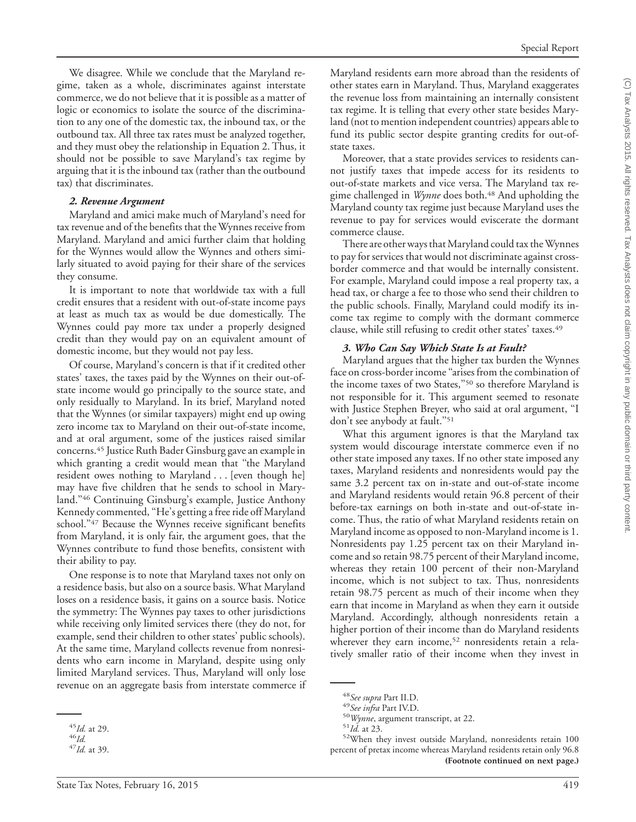We disagree. While we conclude that the Maryland regime, taken as a whole, discriminates against interstate commerce, we do not believe that it is possible as a matter of logic or economics to isolate the source of the discrimination to any one of the domestic tax, the inbound tax, or the outbound tax. All three tax rates must be analyzed together, and they must obey the relationship in Equation 2. Thus, it should not be possible to save Maryland's tax regime by arguing that it is the inbound tax (rather than the outbound tax) that discriminates.

#### *2. Revenue Argument*

Maryland and amici make much of Maryland's need for tax revenue and of the benefits that the Wynnes receive from Maryland. Maryland and amici further claim that holding for the Wynnes would allow the Wynnes and others similarly situated to avoid paying for their share of the services they consume.

It is important to note that worldwide tax with a full credit ensures that a resident with out-of-state income pays at least as much tax as would be due domestically. The Wynnes could pay more tax under a properly designed credit than they would pay on an equivalent amount of domestic income, but they would not pay less.

Of course, Maryland's concern is that if it credited other states' taxes, the taxes paid by the Wynnes on their out-ofstate income would go principally to the source state, and only residually to Maryland. In its brief, Maryland noted that the Wynnes (or similar taxpayers) might end up owing zero income tax to Maryland on their out-of-state income, and at oral argument, some of the justices raised similar concerns.45 Justice Ruth Bader Ginsburg gave an example in which granting a credit would mean that ''the Maryland resident owes nothing to Maryland . . . [even though he] may have five children that he sends to school in Maryland.''46 Continuing Ginsburg's example, Justice Anthony Kennedy commented, ''He's getting a free ride off Maryland school."47 Because the Wynnes receive significant benefits from Maryland, it is only fair, the argument goes, that the Wynnes contribute to fund those benefits, consistent with their ability to pay.

One response is to note that Maryland taxes not only on a residence basis, but also on a source basis. What Maryland loses on a residence basis, it gains on a source basis. Notice the symmetry: The Wynnes pay taxes to other jurisdictions while receiving only limited services there (they do not, for example, send their children to other states' public schools). At the same time, Maryland collects revenue from nonresidents who earn income in Maryland, despite using only limited Maryland services. Thus, Maryland will only lose revenue on an aggregate basis from interstate commerce if

Maryland residents earn more abroad than the residents of other states earn in Maryland. Thus, Maryland exaggerates the revenue loss from maintaining an internally consistent tax regime. It is telling that every other state besides Maryland (not to mention independent countries) appears able to fund its public sector despite granting credits for out-ofstate taxes.

Moreover, that a state provides services to residents cannot justify taxes that impede access for its residents to out-of-state markets and vice versa. The Maryland tax regime challenged in *Wynne* does both.<sup>48</sup> And upholding the Maryland county tax regime just because Maryland uses the revenue to pay for services would eviscerate the dormant commerce clause.

There are other ways that Maryland could tax the Wynnes to pay for services that would not discriminate against crossborder commerce and that would be internally consistent. For example, Maryland could impose a real property tax, a head tax, or charge a fee to those who send their children to the public schools. Finally, Maryland could modify its income tax regime to comply with the dormant commerce clause, while still refusing to credit other states' taxes.<sup>49</sup>

#### *3. Who Can Say Which State Is at Fault?*

Maryland argues that the higher tax burden the Wynnes face on cross-border income ''arises from the combination of the income taxes of two States,''50 so therefore Maryland is not responsible for it. This argument seemed to resonate with Justice Stephen Breyer, who said at oral argument, ''I don't see anybody at fault."<sup>51</sup>

What this argument ignores is that the Maryland tax system would discourage interstate commerce even if no other state imposed any taxes. If no other state imposed any taxes, Maryland residents and nonresidents would pay the same 3.2 percent tax on in-state and out-of-state income and Maryland residents would retain 96.8 percent of their before-tax earnings on both in-state and out-of-state income. Thus, the ratio of what Maryland residents retain on Maryland income as opposed to non-Maryland income is 1. Nonresidents pay 1.25 percent tax on their Maryland income and so retain 98.75 percent of their Maryland income, whereas they retain 100 percent of their non-Maryland income, which is not subject to tax. Thus, nonresidents retain 98.75 percent as much of their income when they earn that income in Maryland as when they earn it outside Maryland. Accordingly, although nonresidents retain a higher portion of their income than do Maryland residents wherever they earn income,<sup>52</sup> nonresidents retain a relatively smaller ratio of their income when they invest in

<sup>45</sup>*Id.* at 29. <sup>46</sup>*Id.* <sup>47</sup>*Id.* at 39.

<sup>&</sup>lt;sup>48</sup>*See supra* Part II.D.<br><sup>49</sup>*See infra* Part IV.D.<br><sup>50</sup>*Wynne*, argument transcript, at 22.<br><sup>51</sup>*Id.* at 23. <sup>52</sup>When they invest outside Maryland, nonresidents retain 100 percent of pretax income whereas Maryland residents retain only 96.8 **(Footnote continued on next page.)**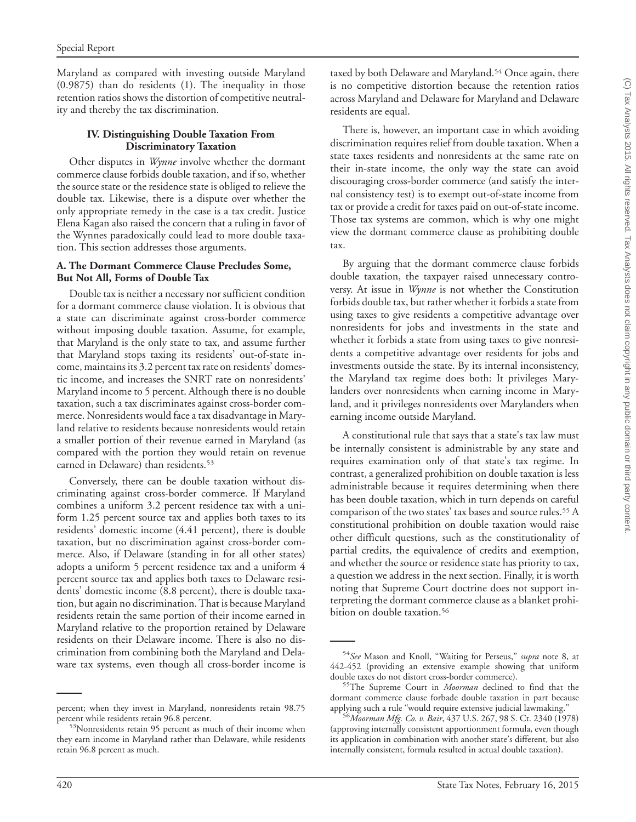Maryland as compared with investing outside Maryland (0.9875) than do residents (1). The inequality in those retention ratios shows the distortion of competitive neutrality and thereby the tax discrimination.

#### **IV. Distinguishing Double Taxation From Discriminatory Taxation**

Other disputes in *Wynne* involve whether the dormant commerce clause forbids double taxation, and if so, whether the source state or the residence state is obliged to relieve the double tax. Likewise, there is a dispute over whether the only appropriate remedy in the case is a tax credit. Justice Elena Kagan also raised the concern that a ruling in favor of the Wynnes paradoxically could lead to more double taxation. This section addresses those arguments.

#### **A. The Dormant Commerce Clause Precludes Some, But Not All, Forms of Double Tax**

Double tax is neither a necessary nor sufficient condition for a dormant commerce clause violation. It is obvious that a state can discriminate against cross-border commerce without imposing double taxation. Assume, for example, that Maryland is the only state to tax, and assume further that Maryland stops taxing its residents' out-of-state income, maintains its 3.2 percent tax rate on residents' domestic income, and increases the SNRT rate on nonresidents' Maryland income to 5 percent. Although there is no double taxation, such a tax discriminates against cross-border commerce. Nonresidents would face a tax disadvantage in Maryland relative to residents because nonresidents would retain a smaller portion of their revenue earned in Maryland (as compared with the portion they would retain on revenue earned in Delaware) than residents.<sup>53</sup>

Conversely, there can be double taxation without discriminating against cross-border commerce. If Maryland combines a uniform 3.2 percent residence tax with a uniform 1.25 percent source tax and applies both taxes to its residents' domestic income (4.41 percent), there is double taxation, but no discrimination against cross-border commerce. Also, if Delaware (standing in for all other states) adopts a uniform 5 percent residence tax and a uniform 4 percent source tax and applies both taxes to Delaware residents' domestic income (8.8 percent), there is double taxation, but again no discrimination. That is because Maryland residents retain the same portion of their income earned in Maryland relative to the proportion retained by Delaware residents on their Delaware income. There is also no discrimination from combining both the Maryland and Delaware tax systems, even though all cross-border income is

taxed by both Delaware and Maryland.<sup>54</sup> Once again, there is no competitive distortion because the retention ratios across Maryland and Delaware for Maryland and Delaware residents are equal.

There is, however, an important case in which avoiding discrimination requires relief from double taxation. When a state taxes residents and nonresidents at the same rate on their in-state income, the only way the state can avoid discouraging cross-border commerce (and satisfy the internal consistency test) is to exempt out-of-state income from tax or provide a credit for taxes paid on out-of-state income. Those tax systems are common, which is why one might view the dormant commerce clause as prohibiting double tax.

By arguing that the dormant commerce clause forbids double taxation, the taxpayer raised unnecessary controversy. At issue in *Wynne* is not whether the Constitution forbids double tax, but rather whether it forbids a state from using taxes to give residents a competitive advantage over nonresidents for jobs and investments in the state and whether it forbids a state from using taxes to give nonresidents a competitive advantage over residents for jobs and investments outside the state. By its internal inconsistency, the Maryland tax regime does both: It privileges Marylanders over nonresidents when earning income in Maryland, and it privileges nonresidents over Marylanders when earning income outside Maryland.

A constitutional rule that says that a state's tax law must be internally consistent is administrable by any state and requires examination only of that state's tax regime. In contrast, a generalized prohibition on double taxation is less administrable because it requires determining when there has been double taxation, which in turn depends on careful comparison of the two states' tax bases and source rules.<sup>55</sup> A constitutional prohibition on double taxation would raise other difficult questions, such as the constitutionality of partial credits, the equivalence of credits and exemption, and whether the source or residence state has priority to tax, a question we address in the next section. Finally, it is worth noting that Supreme Court doctrine does not support interpreting the dormant commerce clause as a blanket prohibition on double taxation.<sup>56</sup>

percent; when they invest in Maryland, nonresidents retain 98.75

<sup>&</sup>lt;sup>53</sup>Nonresidents retain 95 percent as much of their income when they earn income in Maryland rather than Delaware, while residents retain 96.8 percent as much.

<sup>54</sup>*See* Mason and Knoll, ''Waiting for Perseus,'' *supra* note 8, at 442-452 (providing an extensive example showing that uniform double taxes do not distort cross-border commerce). 55The Supreme Court in *Moorman* declined to find that the

dormant commerce clause forbade double taxation in part because

<sup>&</sup>lt;sup>6</sup> Moorman Mfg. Co. v. Bair, 437 U.S. 267, 98 S. Ct. 2340 (1978) (approving internally consistent apportionment formula, even though its application in combination with another state's different, but also internally consistent, formula resulted in actual double taxation).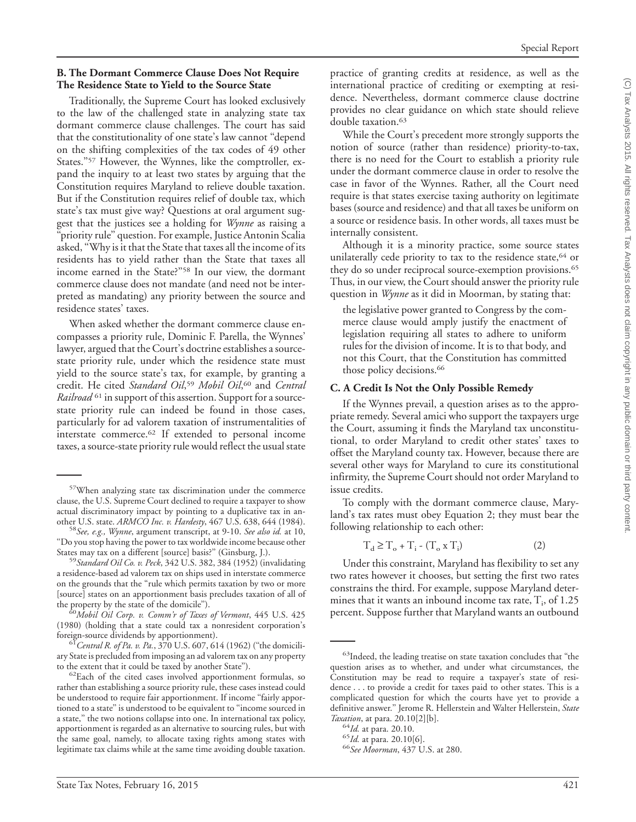#### **B. The Dormant Commerce Clause Does Not Require The Residence State to Yield to the Source State**

Traditionally, the Supreme Court has looked exclusively to the law of the challenged state in analyzing state tax dormant commerce clause challenges. The court has said that the constitutionality of one state's law cannot ''depend on the shifting complexities of the tax codes of 49 other States."<sup>57</sup> However, the Wynnes, like the comptroller, expand the inquiry to at least two states by arguing that the Constitution requires Maryland to relieve double taxation. But if the Constitution requires relief of double tax, which state's tax must give way? Questions at oral argument suggest that the justices see a holding for *Wynne* as raising a ''priority rule'' question. For example, Justice Antonin Scalia asked, ''Why is it that the State that taxes all the income of its residents has to yield rather than the State that taxes all income earned in the State?''58 In our view, the dormant commerce clause does not mandate (and need not be interpreted as mandating) any priority between the source and residence states' taxes.

When asked whether the dormant commerce clause encompasses a priority rule, Dominic F. Parella, the Wynnes' lawyer, argued that the Court's doctrine establishes a sourcestate priority rule, under which the residence state must yield to the source state's tax, for example, by granting a credit. He cited *Standard Oil*, <sup>59</sup> *Mobil Oil*, <sup>60</sup> and *Central Railroad* <sup>61</sup> in support of this assertion. Support for a sourcestate priority rule can indeed be found in those cases, particularly for ad valorem taxation of instrumentalities of interstate commerce.62 If extended to personal income taxes, a source-state priority rule would reflect the usual state

<sup>59</sup> Standard Oil Co. v. Peck, 342 U.S. 382, 384 (1952) (invalidating a residence-based ad valorem tax on ships used in interstate commerce on the grounds that the ''rule which permits taxation by two or more [source] states on an apportionment basis precludes taxation of all of

<sup>3</sup>Mobil Oil Corp. v. Comm'r of Taxes of Vermont, 445 U.S. 425 (1980) (holding that a state could tax a nonresident corporation's

<sup>61</sup> Central R. of Pa. v. Pa., 370 U.S. 607, 614 (1962) ("the domiciliary State is precluded from imposing an ad valorem tax on any property<br>to the extent that it could be taxed by another State"). practice of granting credits at residence, as well as the international practice of crediting or exempting at residence. Nevertheless, dormant commerce clause doctrine provides no clear guidance on which state should relieve double taxation.<sup>63</sup>

While the Court's precedent more strongly supports the notion of source (rather than residence) priority-to-tax, there is no need for the Court to establish a priority rule under the dormant commerce clause in order to resolve the case in favor of the Wynnes. Rather, all the Court need require is that states exercise taxing authority on legitimate bases (source and residence) and that all taxes be uniform on a source or residence basis. In other words, all taxes must be internally consistent.

Although it is a minority practice, some source states unilaterally cede priority to tax to the residence state,<sup>64</sup> or they do so under reciprocal source-exemption provisions.<sup>65</sup> Thus, in our view, the Court should answer the priority rule question in *Wynne* as it did in Moorman, by stating that:

the legislative power granted to Congress by the commerce clause would amply justify the enactment of legislation requiring all states to adhere to uniform rules for the division of income. It is to that body, and not this Court, that the Constitution has committed those policy decisions.<sup>66</sup>

#### **C. A Credit Is Not the Only Possible Remedy**

If the Wynnes prevail, a question arises as to the appropriate remedy. Several amici who support the taxpayers urge the Court, assuming it finds the Maryland tax unconstitutional, to order Maryland to credit other states' taxes to offset the Maryland county tax. However, because there are several other ways for Maryland to cure its constitutional infirmity, the Supreme Court should not order Maryland to issue credits.

To comply with the dormant commerce clause, Maryland's tax rates must obey Equation 2; they must bear the following relationship to each other:

$$
T_d \ge T_o + T_i - (T_o \times T_i)
$$
 (2)

Under this constraint, Maryland has flexibility to set any two rates however it chooses, but setting the first two rates constrains the third. For example, suppose Maryland determines that it wants an inbound income tax rate,  $T_i$ , of 1.25 percent. Suppose further that Maryland wants an outbound

<sup>57</sup>When analyzing state tax discrimination under the commerce clause, the U.S. Supreme Court declined to require a taxpayer to show actual discriminatory impact by pointing to a duplicative tax in an-<br>other U.S. state. ARMCO Inc. v. Hardesty, 467 U.S. 638, 644 (1984).

other U.S. state. *ARMCO Inc. v. Hardesty*, 467 U.S. 638, 644 (1984). <sup>58</sup>*See, e.g., Wynne*, argument transcript, at 9-10. *See also id.* at 10, "Do you stop having the power to tax worldwide income because other<br>States may tax on a different [source] basis?" (Ginsburg, J.).

 ${}^{62}$ Each of the cited cases involved apportionment formulas, so rather than establishing a source priority rule, these cases instead could be understood to require fair apportionment. If income "fairly apportioned to a state'' is understood to be equivalent to ''income sourced in a state,'' the two notions collapse into one. In international tax policy, apportionment is regarded as an alternative to sourcing rules, but with the same goal, namely, to allocate taxing rights among states with legitimate tax claims while at the same time avoiding double taxation.

<sup>&</sup>lt;sup>63</sup>Indeed, the leading treatise on state taxation concludes that "the question arises as to whether, and under what circumstances, the Constitution may be read to require a taxpayer's state of residence . . . to provide a credit for taxes paid to other states. This is a complicated question for which the courts have yet to provide a definitive answer.'' Jerome R. Hellerstein and Walter Hellerstein, *State*

<sup>&</sup>lt;sup>64</sup>*Id.* at para. 20.10.<br><sup>65</sup>*Id.* at para. 20.10[6].<br><sup>66</sup>*See Moorman*, 437 U.S. at 280.